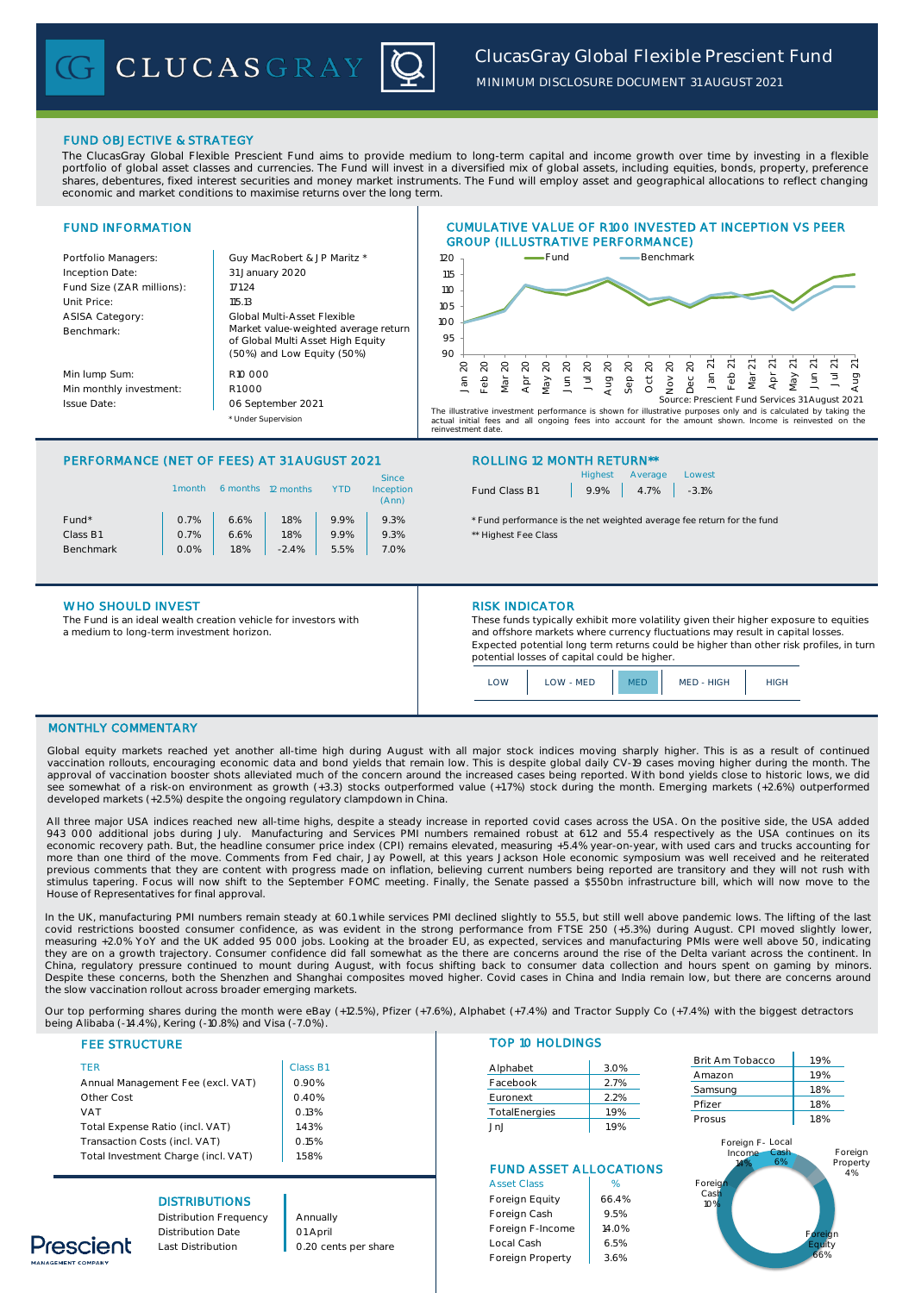

*MINIMUM DISCLOSURE DOCUMENT 31 AUGUST 2021*

## FUND OBJECTIVE & STRATEGY

The ClucasGray Global Flexible Prescient Fund aims to provide medium to long-term capital and income growth over time by investing in a flexible portfolio of global asset classes and currencies. The Fund will invest in a diversified mix of global assets, including equities, bonds, property, preference shares, debentures, fixed interest securities and money market instruments. The Fund will employ asset and geographical allocations to reflect changing economic and market conditions to maximise returns over the long term.



# PERFORMANCE (NET OF FEES) AT 31 AUGUST 2021 ROLLING 12 MONTH RETURN\*\*

|                   | 1 month | 6 months | 12 months |      | <b>Since</b><br>Inception<br>(Ann) |
|-------------------|---------|----------|-----------|------|------------------------------------|
| Fund <sup>*</sup> | 0.7%    | 6.6%     | 1.8%      | 9.9% | 9.3%                               |
| Class B1          | 0.7%    | 6.6%     | 1.8%      | 9.9% | 9.3%                               |
| <b>Benchmark</b>  | 0.0%    | 1.8%     | $-2.4%$   | 5.5% | 7.0%                               |
|                   |         |          |           |      |                                    |

## WHO SHOULD INVEST **RISK INDICATOR**

The Fund is an ideal wealth creation vehicle for investors with a medium to long-term investment horizon.

|               |                    | Highest Average Lowest |  |  |  |  |
|---------------|--------------------|------------------------|--|--|--|--|
| Fund Class B1 | $9.9\%$ 4.7% -3.1% |                        |  |  |  |  |

\* Fund performance is the net weighted average fee return for the fund \*\* Highest Fee Class

These funds typically exhibit more volatility given their higher exposure to equities and offshore markets where currency fluctuations may result in capital losses. Expected potential long term returns could be higher than other risk profiles, in turn potential losses of capital could be higher.



## MONTHLY COMMENTARY

Global equity markets reached yet another all-time high during August with all major stock indices moving sharply higher. This is as a result of continued vaccination rollouts, encouraging economic data and bond yields that remain low. This is despite global daily CV-19 cases moving higher during the month. The approval of vaccination booster shots alleviated much of the concern around the increased cases being reported. With bond yields close to historic lows, we did see somewhat of a risk-on environment as growth (+3.3) stocks outperformed value (+1.7%) stock during the month. Emerging markets (+2.6%) outperformed developed markets (+2.5%) despite the ongoing regulatory clampdown in China.

All three major USA indices reached new all-time highs, despite a steady increase in reported covid cases across the USA. On the positive side, the USA added<br>943 000 additional jobs during July. Manufacturing and Services economic recovery path. But, the headline consumer price index (CPI) remains elevated, measuring +5.4% year-on-year, with used cars and trucks accounting for<br>more than one third of the move. Comments from Fed chair, Jay Po previous comments that they are content with progress made on inflation, believing current numbers being reported are transitory and they will not rush with stimulus tapering. Focus will now shift to the September FOMC meeting. Finally, the Senate passed a \$550bn infrastructure bill, which will now move to the House of Representatives for final approval.

In the UK, manufacturing PMI numbers remain steady at 60.1 while services PMI declined slightly to 55.5, but still well above pandemic lows. The lifting of the last covid restrictions boosted consumer confidence, as was evident in the strong performance from FTSE 250 (+5.3%) during August. CPI moved slightly lower, measuring +2.0% YoY and the UK added 95 000 jobs. Looking at the broader EU, as expected, services and manufacturing PMIs were well above 50, indicating<br>they are on a growth trajectory. Consumer confidence did fall somewha China, regulatory pressure continued to mount during August, with focus shifting back to consumer data collection and hours spent on gaming by minors. Despite these concerns, both the Shenzhen and Shanghai composites moved higher. Covid cases in China and India remain low, but there are concerns around the slow vaccination rollout across broader emerging markets.

Our top performing shares during the month were eBay (+12.5%), Pfizer (+7.6%), Alphabet (+7.4%) and Tractor Supply Co (+7.4%) with the biggest detractors being Alibaba (-14.4%), Kering (-10.8%) and Visa (-7.0%).

|  |  | <b>FEE STRUCTURE</b> |  |  |  |
|--|--|----------------------|--|--|--|
|  |  |                      |  |  |  |

hescient

| <b>TFR</b>                          | Class E |
|-------------------------------------|---------|
| Annual Management Fee (excl. VAT)   | 0.90%   |
| Other Cost                          | 0.40%   |
| <b>VAT</b>                          | 0.13%   |
| Total Expense Ratio (incl. VAT)     | 1.43%   |
| Transaction Costs (incl. VAT)       | 0.15%   |
| Total Investment Charge (incl. VAT) | 1.58%   |

# **DISTRIBUTIONS**

## **TOP 10 HOLDINGS**

| Class B1 |               |      |
|----------|---------------|------|
|          | Alphabet      | 3.0% |
| 0.90%    | Facebook      | 2.7% |
| 0.40%    | Euronext      | 2.2% |
| 0.13%    | TotalEnergies | 1.9% |
| 1.43%    | .JnJ          | 1.9% |

# FUND ASSET ALLOCATIONS

|                        |                      | <b>Asset Class</b> | %     |
|------------------------|----------------------|--------------------|-------|
| <b>DISTRIBUTIONS</b>   |                      | Foreign Equity     | 66.4% |
| Distribution Frequency | Annually             | Foreign Cash       | 9.5%  |
| Distribution Date      | 01 April             | Foreign F-Income   | 14.0% |
| Last Distribution      | 0.20 cents per share | Local Cash         | 6.5%  |
|                        |                      | Foreign Property   | 3.6%  |